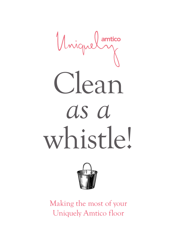



Making the most of your Uniquely Amtico floor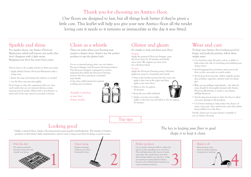

### Perfect products

Use an Amtico Entrance Mat to reduce the chance of dirt spreading on to your floor. This will help reduce the chance of water, excess grit, dirt, small stones and other debris being walked on to the floor. Only use matting recommended by Amtico, because some rubber-backed matting can cause permanent staining.





Top tips:

### Sparkle and shine

For regular cleans, use Amtico Floorcare Maintainer, which will remove any marks that don't disappear with a light sweep. Mopping your floor has never been easier.

All you have to do is apply and dry in three easy steps:

- 1. Apply diluted Amtico Floorcare Maintainer with a damp mop.
- 2. Rinse the mop and change the solution as needed.
- 3. Let the floor area dry thoroughly.

Don't forget to clean the equipment after use. Any scuff marks that are not removed during routine cleaning may be gently rubbed with a non-abrasive or nylon pad of the type used on non-stick cookware.

# Glisten and gleam

It's simple to strip and dress your floor.

### *Stripping*

Apply the prepared Floorcare Stripper, mop the floor, leave for 10 minutes and finally rinse clean. We suggest you rinse twice for a fabulous finish.

#### *Dressing*

Apply the Floorcare Dressing using a flat head applicator mop for a beautiful satin finish.

- Start at the furthest point from the room exit, apply a thin coat at the edges and then apply to the main floor.
- Allow to dry for approx. 30 minutes.



- Keep the area well ventilated.
- Apply a second coat at right angles to the first coat and allow to dry for approx. 30 minutes.

### Wear and care

To keep your Amtico floor looking good for longer and perfectly pristine, follow these simple steps:

- Use furniture cups, felt pads, castors or glides to help reduce the risk of scratching and marking your Amtico floor.
- Avoid dragging heavy furniture items across the floor as this can result in scratch marks.
- Avoid spray from aerosols, rubber, asphalt, paints, shoe polishes, cigarettes, matches and very sharp grit.
- Wipe up any spillages immediately the affected areas should be thoroughly cleaned with Amtico Floorcare Maintainer or ready to use Amtico Spillage Remover.
- Avoid using steam mops to clean the floor as these can cause damage to the products.
- Use barrier matting to help reduce the chance of water, excess grit, dirt, small stones and other debris being walked on to the floor.

Finally, check your vacuum cleaner is suitable to use on Amtico flooring.

### Clean as a whistle

There are times when your flooring may require a deeper clean. Amtico has the perfect products to get the glisten back.

For an occasional spring clean, use our Amtico Floorcare Stripper and Floorcare Dressing products. The Floorcare Stripper is designed to remove ingrained dirt whilst the Floorcare Dressing protects the floor and gives a beautiful satin finish.

It also gives added protection against scuffing and scratching.

*Available to purchase at your local Amtico retailer.* 



*The key to keeping your floor in good shape is to keep it clean.* 

### Looking good

Unlike a natural floor, Amtico flooring doesn't need regular refurbishment. The beauty of Amtico products is that there's little maintenance and it's easy to keep your floor looking as good as new.

## Thank you for choosing an Amtico floor.

Our floors are designed to last, but all things look better if they're given a little care. This leaflet will help you give your new Amtico floor all the tender loving care it needs so it remains as immaculate as the day it was fitted.